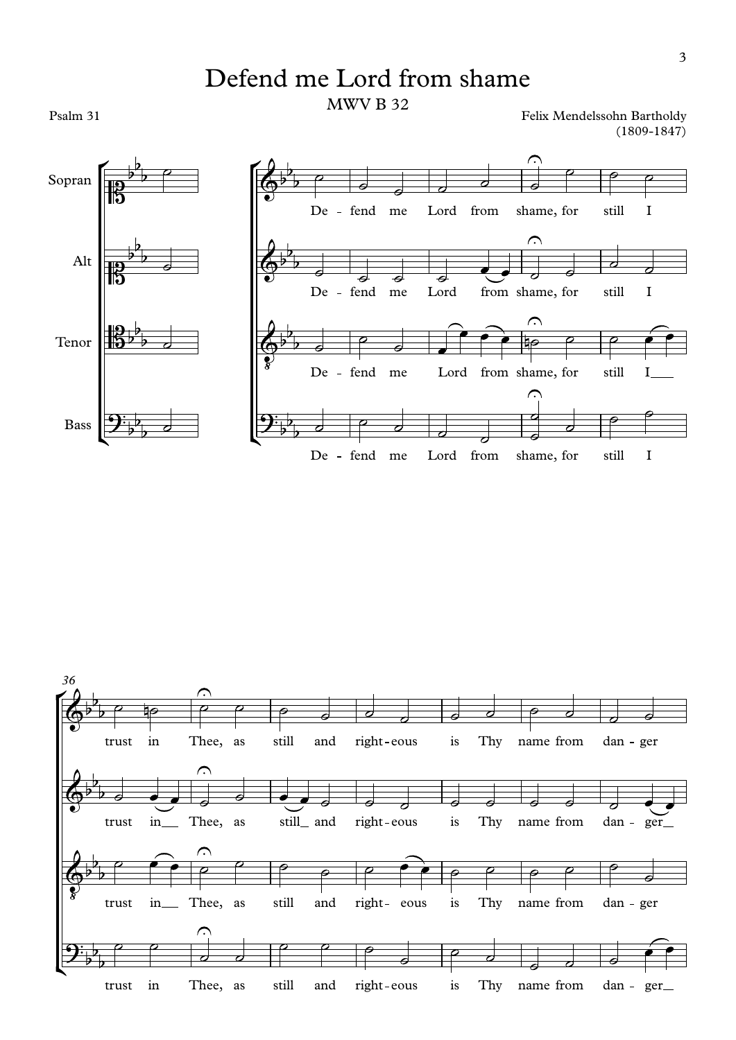## Defend me Lord from shame MWV B 32

Psalm 31

Felix Mendelssohn Bartholdy (1809-1847)